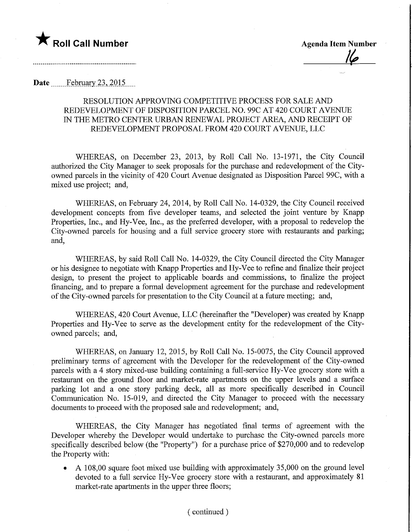

**Agenda Item Number** 

Date February 23, 2015

### RESOLUTION APPROVING COMPETITIVE PROCESS FOR SALE AND REDEVELOPMENT OF DISPOSITION PARCEL NO. 99C AT 420 COURT AVENUE IN THE METRO CENTER URBAN RENEWAL PROJECT AREA, AND RECEIPT OF REDEVELOPMENT PROPOSAL FROM 420 COURT AVENUE, LLC

WHEREAS, on December 23, 2013, by Roll Call No. 13-1971, the City Council authorized the City Manager to seek proposals for the purchase and redevelopment of the Cityowned parcels in the vicinity of 420 Court Avenue designated as Disposition Parcel 99C, with a mixed use project; and,

WHEREAS, on February 24, 2014, by Roll Call No. 14-0329, the City Council received development concepts from five developer teams, and selected the joint venture by Knapp Properties, Inc., and Hy-Vee, Inc., as the preferred developer, with a proposal to redevelop the City-owned parcels for housing and a fall service grocery store with restaurants and parking; and,

WHEREAS, by said Roll Call No. 14-0329, the City Council directed the City Manager or his designee to negotiate with Knapp Properties and Hy-Vee to refine and finalize their project design, to present the project to applicable boards and commissions, to finalize the project financing, and to prepare a formal development agreement for the purchase and redevelopment of the City-owned parcels for presentation to the City Council at a futire meeting; and,

WHEREAS, 420 Court Avenue, LLC (hereinafter the "Developer) was created by Knapp Properties and Hy-Vee to serve as the development entity for the redevelopment of the Cityowned parcels; and,

WHEREAS, on January 12, 2015, by Roll Call No. 15-0075, the City Council approved preliminary terms of agreement with the Developer for the redevelopment of the City-owned parcels with a 4 story mixed-use building containing a full-service Hy-Vee grocery store with a restaurant on the ground floor and market-rate apartments on the upper levels and a surface parking lot and a one story parking deck, all as more specifically described in Council Communication No. 15-019, and directed the City Manager to proceed with the necessary documents to proceed with the proposed sale and redevelopment; and,

WHEREAS, the City Manager has negotiated final terms of agreement with the Developer whereby the Developer would undertake to purchase the City-owned parcels more specifically described below (the "Property") for a purchase price of \$270,000 and to redevelop the Property with:

• A 108,00 square foot mixed use building with approximately 35,000 on the ground level devoted to a full service Hy-Vee grocery store with a restaurant, and approximately 81 market-rate apartments in the upper three floors;

#### (continued)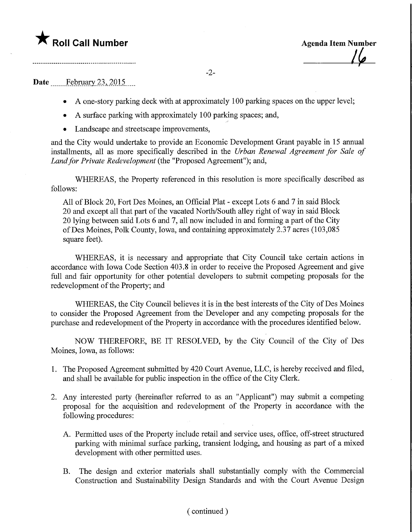## $\bigstar$  Roll Call Number

**Agenda Item Number** 

#### Date February 23, 2015

• A one-story parking deck with at approximately 100 parking spaces on the upper level;

-2-

- A surface parking with approximately 100 parking spaces; and,
- Landscape and streetscape improvements,

and the City would undertake to provide an Economic Development Grant payable in 15 annual installments, all as more specifically described in the Urban Renewal Agreement for Sale of Land for Private Redevelopment (the "Proposed Agreement"); and,

WHEREAS, the Property referenced in this resolution is more specifically described as follows:

All of Block 20, Fort Des Moines, an Official Plat - except Lots 6 and 7 in said Block 20 and except all that part of the vacated North/South alley right of way in said Block 20 lying between said Lots 6 and 7, all now included in and forming a part of the City ofDes Moines, Polk County, Iowa, and containing approximately 2.37 acres (103,085 square feet).

WHEREAS, it is necessary and appropriate that City Council take certain actions in accordance with Iowa Code Section 403.8 in order to receive the Proposed Agreement and give full and fair opportunity for other potential developers to submit competing proposals for the redevelopment of the Property; and

WHEREAS, the City Council believes it is in the best interests of the City of Des Moines to consider the Proposed Agreement from the Developer and any competing proposals for the purchase and redevelopment of the Property in accordance with the procedures identified below.

NOW THEREFORE, BE IT RESOLVED, by the City Council of the City of Des Moines, Iowa, as follows:

- 1. The Proposed Agreement submitted by 420 Court Avenue, LLC, is hereby received and filed, and shall be available for public inspection in the office of the City Clerk.
- 2. Any interested party (hereinafter referred to as an "Applicant") may submit a competing proposal for the acquisition and redevelopment of the Property in accordance with the following procedures:
	- A. Permitted uses of the Property include retail and service uses, office, off-street structured parking with minimal surface parking, transient lodging, and housing as part of a mixed development with other permitted uses.
	- B. The design and exterior materials shall substantially comply with the Commercial Construction and Sustainability Design Standards and with the Court Avenue Design

#### (continued )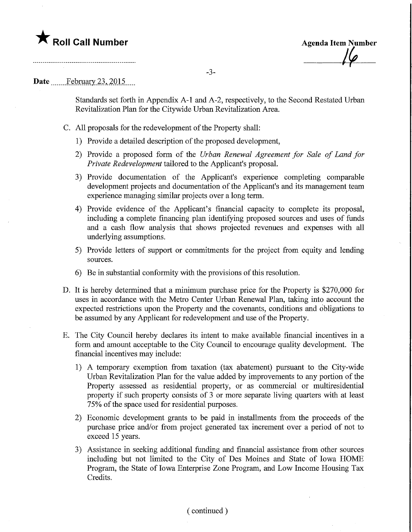## $\nabla$  Roll Call Number

**Agenda Item Number** 

### Date February 23, 2015.

Standards set forth in Appendix A-l and A-2, respectively, to the Second Restated Urban Revitalization Plan for the Citywide Urban Revitalization Area.

- C. All proposals for the redevelopment of the Property shall:
	- 1) Provide a detailed description of the proposed development,
	- 2) Provide a proposed form of the Urban Renewal Agreement for Sale of Land for Private Redevelopment tailored to the Applicant's proposal.
	- 3) Provide documentation of the Applicant's experience completing comparable development projects and documentation of the Applicant's and its management team experience managing similar projects over a long term.
	- 4) Provide evidence of the Applicant's financial capacity to complete its proposal, including a complete financing plan identifying proposed sources and uses of funds and a cash How analysis that shows projected revenues and expenses with all underlying assumptions.
	- 5) Provide letters of support or commitments for the project from equity and lending sources.
	- 6) Be in substantial conformity with the provisions of this resolution.
- D. It is hereby determined that a minimum purchase price for the Property is \$270,000 for uses in accordance with the Metro Center Urban Renewal Plan, taking into account the expected restrictions upon the Property and the covenants, conditions and obligations to be assumed by any Applicant for redevelopment and use of the Property.
- E. The City Council hereby declares its intent to make available financial incentives in a form and amount acceptable to the City Council to encourage quality development. The financial incentives may include:
	- 1) A temporary exemption from taxation (tax abatement) pursuant to the City-wide Urban Revitalization Plan for the value added by improvements to any portion of the Property assessed as residential property, or as commercial or multiresidential property if such property consists of 3 or more separate living quarters with at least 75% of the space used for residential purposes.
	- 2) Economic development grants to be paid in installments from the proceeds of the purchase price and/or from project generated tax increment over a period of not to exceed 15 years.
	- 3) Assistance in seeking additional funding and financial assistance from other sources including but not limited to the City of Des Moines and State of Iowa HOME Program, the State of Iowa Enterprise Zone Program, and Low Income Housing Tax Credits.

#### (continued)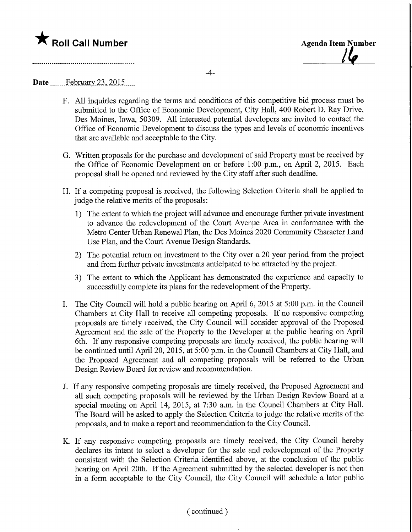# **The Solid Call Number Agents Container Agents Item Number** Agenda Item Number

 $-4-$ 

### Date ........Febmary.23,\_2Q15..

- F. All inquiries regarding the terms and conditions of this competitive bid process must be submitted to the Office of Economic Development, City Hall, 400 Robert D. Ray Drive, Des Moines, Iowa, 50309. All interested potential developers are invited to contact the Office of Economic Development to discuss the types and levels of economic incentives that are available and acceptable to the City.
- G. Written proposals for the purchase and development of said Property must be received by the Office of Economic Development on or before 1:00 p.m., on April 2, 2015. Each proposal shall be opened and reviewed by the City staff after such deadline.
- H. If a competing proposal is received, the following Selection Criteria shall be applied to judge the relative merits of the proposals:
	- 1) The extent to which the project will advance and encourage further private investment to advance the redevelopment of the Court Avenue Area in conformance with the Metro Center Urban Renewal Plan, the Des Moines 2020 Community Character Land Use Plan, and the Court Avenue Design Standards.
	- 2) The potential return on investment to the City over a 20 year period from the project and from further private investments anticipated to be attracted by the project.
	- 3) The extent to which the Applicant has demonstrated the experience and capacity to successfully complete its plans for the redevelopment of the Property.
- I. The City Council will hold a public hearing on April 6, 2015 at 5:00 p.m. in the Council Chambers at City Hall to receive all competing proposals. If no responsive competing proposals are timely received, the City Council will consider approval of the Proposed Agreement and the sale of the Property to the Developer at the public hearing on April 6th. If any responsive competing proposals are timely received, the public hearing will be continued until April 20, 2015, at 5:00 p.m. in the Council Chambers at City Hall, and the Proposed Agreement and all competing proposals will be referred to the Urban Design Review Board for review and recommendation.
- J. If any responsive competing proposals are timely received, the Proposed Agreement and all such competing proposals will be reviewed by the Urban Design Review Board at a special meeting on April 14, 2015, at 7:30 a.m. in the Council Chambers at City Hall. The Board will be asked to apply the Selection Criteria to judge the relative merits of the proposals, and to make a report and recommendation to the City Council.
- K. If any responsive competing proposals are timely received, the City Council hereby declares its intent to select a developer for the sale and redevelopment of the Property consistent with the Selection Criteria identified above, at the conclusion of the public hearing on April 20th. If the Agreement submitted by the selected developer is not then in a form acceptable to the City Council, the City Council will schedule a later public